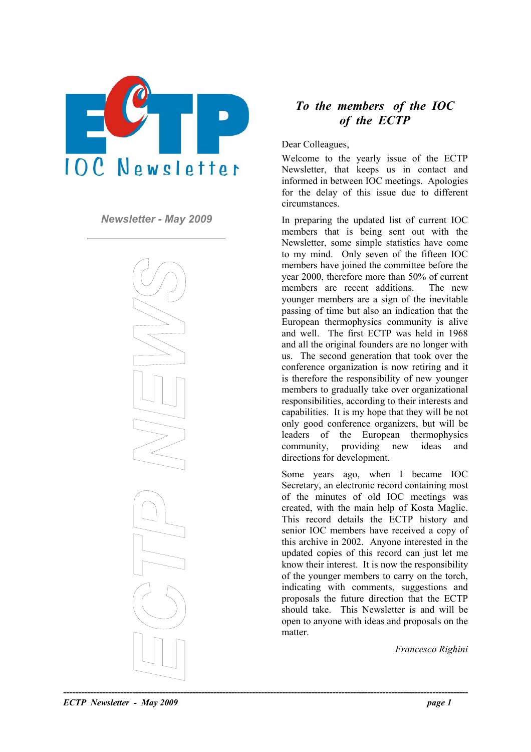



## *To the members of the IOC of the ECTP*

Dear Colleagues,

Welcome to the yearly issue of the ECTP Newsletter, that keeps us in contact and informed in between IOC meetings. Apologies for the delay of this issue due to different circumstances.

*Newsletter - May 2009* In preparing the updated list of current IOC members that is being sent out with the Newsletter, some simple statistics have come to my mind. Only seven of the fifteen IOC members have joined the committee before the year 2000, therefore more than 50% of current members are recent additions. The new younger members are a sign of the inevitable passing of time but also an indication that the European thermophysics community is alive and well. The first ECTP was held in 1968 and all the original founders are no longer with us. The second generation that took over the conference organization is now retiring and it is therefore the responsibility of new younger members to gradually take over organizational responsibilities, according to their interests and capabilities. It is my hope that they will be not only good conference organizers, but will be leaders of the European thermophysics community, providing new ideas and directions for development.

> Some years ago, when I became IOC Secretary, an electronic record containing most of the minutes of old IOC meetings was created, with the main help of Kosta Maglic. This record details the ECTP history and senior IOC members have received a copy of this archive in 2002. Anyone interested in the updated copies of this record can just let me know their interest. It is now the responsibility of the younger members to carry on the torch, indicating with comments, suggestions and proposals the future direction that the ECTP should take. This Newsletter is and will be open to anyone with ideas and proposals on the matter.

> > *Francesco Righini*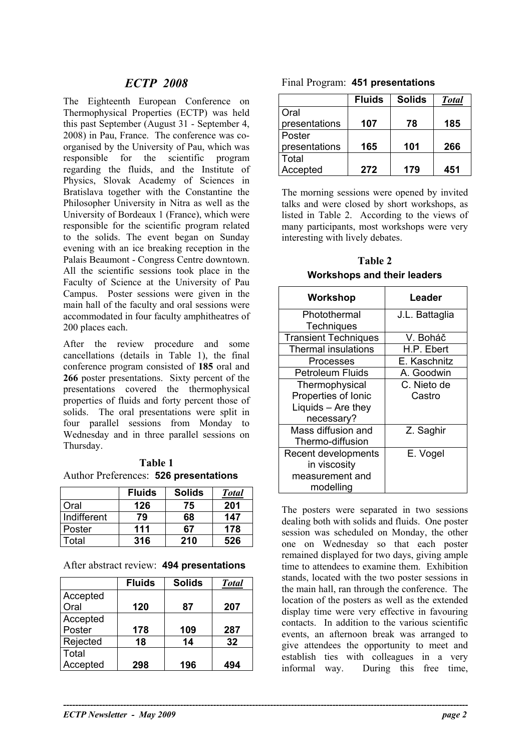## *ECTP 2008* Final Program: **451 presentations**

The Eighteenth European Conference on Thermophysical Properties (ECTP) was held this past September (August 31 - September 4, 2008) in Pau, France. The conference was coorganised by the University of Pau, which was responsible for the scientific program regarding the fluids, and the Institute of Physics, Slovak Academy of Sciences in Bratislava together with the Constantine the Philosopher University in Nitra as well as the University of Bordeaux 1 (France), which were responsible for the scientific program related to the solids. The event began on Sunday evening with an ice breaking reception in the Palais Beaumont - Congress Centre downtown. All the scientific sessions took place in the Faculty of Science at the University of Pau Campus. Poster sessions were given in the main hall of the faculty and oral sessions were accommodated in four faculty amphitheatres of 200 places each.

After the review procedure and some cancellations (details in Table 1), the final conference program consisted of **185** oral and **266** poster presentations. Sixty percent of the presentations covered the thermophysical properties of fluids and forty percent those of solids. The oral presentations were split in four parallel sessions from Monday to Wednesday and in three parallel sessions on Thursday.

**Table 1**  Author Preferences: **526 presentations**

|             | <b>Fluids</b> | <b>Solids</b> | <b>Total</b> |
|-------------|---------------|---------------|--------------|
| Oral        | 126           | 75            | 201          |
| Indifferent | 79            | 68            | 147          |
| Poster      | 111           | 67            | 178          |
| Total       | 316           | 210           | 526          |

## After abstract review: **494 presentations**

|          | <b>Fluids</b> | <b>Solids</b> | <b>Total</b> |
|----------|---------------|---------------|--------------|
| Accepted |               |               |              |
| Oral     | 120           | 87            | 207          |
| Accepted |               |               |              |
| Poster   | 178           | 109           | 287          |
| Rejected | 18            | 14            | 32           |
| Total    |               |               |              |
| Accepted | 298           | 196           | 494          |

**----------------------------------------------------------------------------------------------------------------------------------------** 

|  |  | Final Program: 451 presentations |
|--|--|----------------------------------|
|--|--|----------------------------------|

|               | <b>Fluids</b> | <b>Solids</b> | <b>Total</b> |
|---------------|---------------|---------------|--------------|
| Oral          |               |               |              |
| presentations | 107           | 78            | 185          |
| Poster        |               |               |              |
| presentations | 165           | 101           | 266          |
| Total         |               |               |              |
| Accepted      | 272           | 179           | 451          |

The morning sessions were opened by invited talks and were closed by short workshops, as listed in Table 2. According to the views of many participants, most workshops were very interesting with lively debates.

**Table 2 Workshops and their leaders** 

| Workshop                    | Leader         |
|-----------------------------|----------------|
| Photothermal                | J.L. Battaglia |
| <b>Techniques</b>           |                |
| <b>Transient Techniques</b> | V. Boháč       |
| <b>Thermal insulations</b>  | H.P. Ebert     |
| Processes                   | E. Kaschnitz   |
| <b>Petroleum Fluids</b>     | A. Goodwin     |
| Thermophysical              | C. Nieto de    |
| Properties of Ionic         | Castro         |
| Liquids - Are they          |                |
| necessary?                  |                |
| Mass diffusion and          | Z. Saghir      |
| Thermo-diffusion            |                |
| Recent developments         | E. Vogel       |
| in viscosity                |                |
| measurement and             |                |
| modelling                   |                |

The posters were separated in two sessions dealing both with solids and fluids. One poster session was scheduled on Monday, the other one on Wednesday so that each poster remained displayed for two days, giving ample time to attendees to examine them. Exhibition stands, located with the two poster sessions in the main hall, ran through the conference. The location of the posters as well as the extended display time were very effective in favouring contacts. In addition to the various scientific events, an afternoon break was arranged to give attendees the opportunity to meet and establish ties with colleagues in a very informal way. During this free time,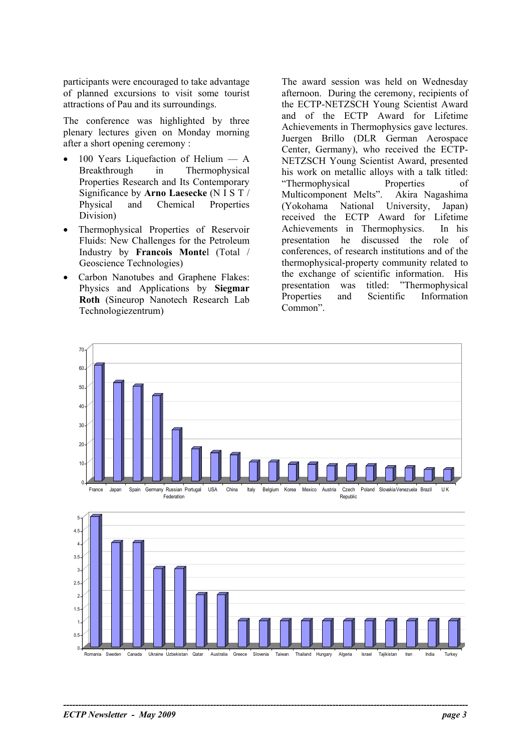participants were encouraged to take advantage of planned excursions to visit some tourist attractions of Pau and its surroundings.

The conference was highlighted by three plenary lectures given on Monday morning after a short opening ceremony :

- 100 Years Liquefaction of Helium  $A$ Breakthrough in Thermophysical Properties Research and Its Contemporary Significance by **Arno Laesecke** (N I S T / Physical and Chemical Properties Division)
- Thermophysical Properties of Reservoir Fluids: New Challenges for the Petroleum Industry by **Francois Monte**l (Total / Geoscience Technologies)
- Carbon Nanotubes and Graphene Flakes: Physics and Applications by **Siegmar Roth** (Sineurop Nanotech Research Lab Technologiezentrum)

The award session was held on Wednesday afternoon. During the ceremony, recipients of the ECTP-NETZSCH Young Scientist Award and of the ECTP Award for Lifetime Achievements in Thermophysics gave lectures. Juergen Brillo (DLR German Aerospace Center, Germany), who received the ECTP-NETZSCH Young Scientist Award, presented his work on metallic alloys with a talk titled: "Thermophysical Properties of Multicomponent Melts". Akira Nagashima (Yokohama National University, Japan) received the ECTP Award for Lifetime Achievements in Thermophysics. In his presentation he discussed the role of conferences, of research institutions and of the thermophysical-property community related to the exchange of scientific information. His presentation was titled: "Thermophysical Properties and Scientific Information Common".



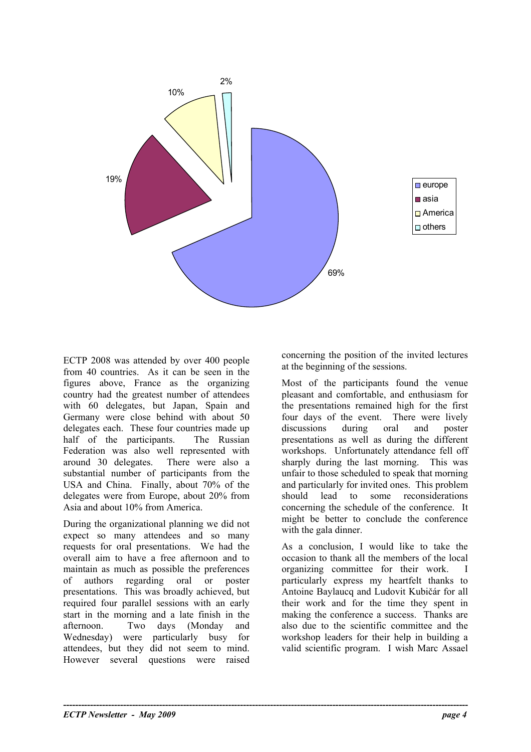

**----------------------------------------------------------------------------------------------------------------------------------------** 

ECTP 2008 was attended by over 400 people from 40 countries. As it can be seen in the figures above, France as the organizing country had the greatest number of attendees with 60 delegates, but Japan, Spain and Germany were close behind with about 50 delegates each. These four countries made up half of the participants. The Russian Federation was also well represented with around 30 delegates. There were also a substantial number of participants from the USA and China. Finally, about 70% of the delegates were from Europe, about 20% from Asia and about 10% from America.

During the organizational planning we did not expect so many attendees and so many requests for oral presentations. We had the overall aim to have a free afternoon and to maintain as much as possible the preferences of authors regarding oral or poster presentations. This was broadly achieved, but required four parallel sessions with an early start in the morning and a late finish in the afternoon. Two days (Monday and Wednesday) were particularly busy for attendees, but they did not seem to mind. However several questions were raised

concerning the position of the invited lectures at the beginning of the sessions.

Most of the participants found the venue pleasant and comfortable, and enthusiasm for the presentations remained high for the first four days of the event. There were lively discussions during oral and poster presentations as well as during the different workshops. Unfortunately attendance fell off sharply during the last morning. This was unfair to those scheduled to speak that morning and particularly for invited ones. This problem should lead to some reconsiderations concerning the schedule of the conference. It might be better to conclude the conference with the gala dinner.

As a conclusion, I would like to take the occasion to thank all the members of the local organizing committee for their work. I particularly express my heartfelt thanks to Antoine Baylaucq and Ludovit Kubičár for all their work and for the time they spent in making the conference a success. Thanks are also due to the scientific committee and the workshop leaders for their help in building a valid scientific program. I wish Marc Assael